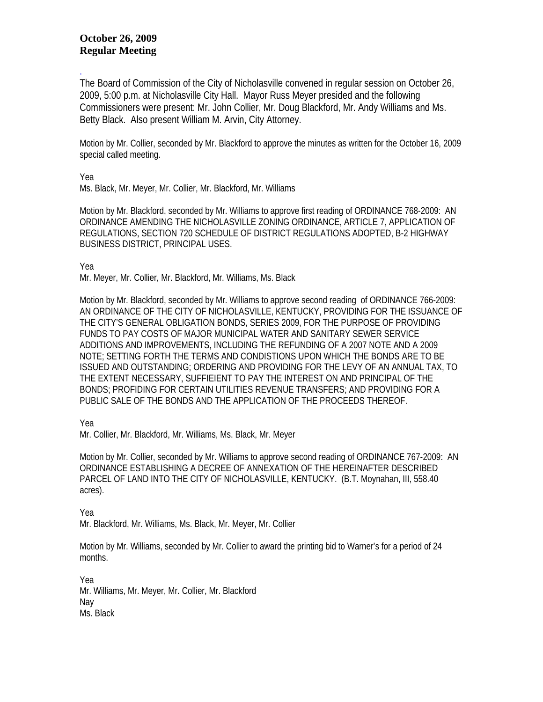## **October 26, 2009 Regular Meeting**

. The Board of Commission of the City of Nicholasville convened in regular session on October 26, 2009, 5:00 p.m. at Nicholasville City Hall. Mayor Russ Meyer presided and the following Commissioners were present: Mr. John Collier, Mr. Doug Blackford, Mr. Andy Williams and Ms. Betty Black. Also present William M. Arvin, City Attorney.

Motion by Mr. Collier, seconded by Mr. Blackford to approve the minutes as written for the October 16, 2009 special called meeting.

Yea

Ms. Black, Mr. Meyer, Mr. Collier, Mr. Blackford, Mr. Williams

Motion by Mr. Blackford, seconded by Mr. Williams to approve first reading of ORDINANCE 768-2009: AN ORDINANCE AMENDING THE NICHOLASVILLE ZONING ORDINANCE, ARTICLE 7, APPLICATION OF REGULATIONS, SECTION 720 SCHEDULE OF DISTRICT REGULATIONS ADOPTED, B-2 HIGHWAY BUSINESS DISTRICT, PRINCIPAL USES.

Yea

Mr. Meyer, Mr. Collier, Mr. Blackford, Mr. Williams, Ms. Black

Motion by Mr. Blackford, seconded by Mr. Williams to approve second reading of ORDINANCE 766-2009: AN ORDINANCE OF THE CITY OF NICHOLASVILLE, KENTUCKY, PROVIDING FOR THE ISSUANCE OF THE CITY'S GENERAL OBLIGATION BONDS, SERIES 2009, FOR THE PURPOSE OF PROVIDING FUNDS TO PAY COSTS OF MAJOR MUNICIPAL WATER AND SANITARY SEWER SERVICE ADDITIONS AND IMPROVEMENTS, INCLUDING THE REFUNDING OF A 2007 NOTE AND A 2009 NOTE; SETTING FORTH THE TERMS AND CONDISTIONS UPON WHICH THE BONDS ARE TO BE ISSUED AND OUTSTANDING; ORDERING AND PROVIDING FOR THE LEVY OF AN ANNUAL TAX, TO THE EXTENT NECESSARY, SUFFIEIENT TO PAY THE INTEREST ON AND PRINCIPAL OF THE BONDS; PROFIDING FOR CERTAIN UTILITIES REVENUE TRANSFERS; AND PROVIDING FOR A PUBLIC SALE OF THE BONDS AND THE APPLICATION OF THE PROCEEDS THEREOF.

Yea

Mr. Collier, Mr. Blackford, Mr. Williams, Ms. Black, Mr. Meyer

Motion by Mr. Collier, seconded by Mr. Williams to approve second reading of ORDINANCE 767-2009: AN ORDINANCE ESTABLISHING A DECREE OF ANNEXATION OF THE HEREINAFTER DESCRIBED PARCEL OF LAND INTO THE CITY OF NICHOLASVILLE, KENTUCKY. (B.T. Moynahan, III, 558.40 acres).

Yea

Mr. Blackford, Mr. Williams, Ms. Black, Mr. Meyer, Mr. Collier

Motion by Mr. Williams, seconded by Mr. Collier to award the printing bid to Warner's for a period of 24 months.

Yea Mr. Williams, Mr. Meyer, Mr. Collier, Mr. Blackford Nay Ms. Black